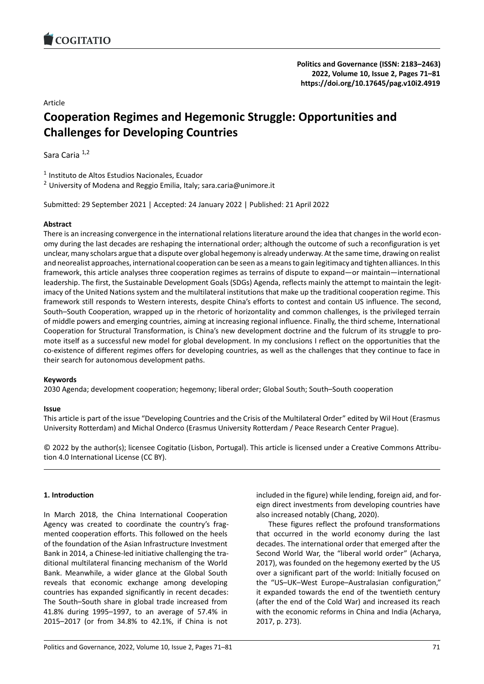### Article

# **Cooperation Regimes and Hegemonic Struggle: [Opportunities and](https://doi.org/10.17645/pag.v10i2.4919) Challenges for Developing Countries**

Sara Caria<sup>1,2</sup>

<sup>1</sup> Instituto de Altos Estudios Nacionales, Ecuador

<sup>2</sup> University of Modena and Reggio Emilia, Italy; sara.caria@unimore.it

Submitted: 29 September 2021 | Accepted: 24 January 2022 | Published: 21 April 2022

### **Abstract**

There is an increasing convergence in the international relations literature around the idea that changes in the world economy during the last decades are reshaping the international order; although the outcome of such a reconfiguration is yet unclear, many scholars argue that a dispute over global hegemony is already underway. At the same time, drawing on realist and neorealist approaches, international cooperation can be seen as a means to gain legitimacy and tighten alliances. In this framework, this article analyses three cooperation regimes as terrains of dispute to expand—or maintain—international leadership. The first, the Sustainable Development Goals (SDGs) Agenda, reflects mainly the attempt to maintain the legit‐ imacy of the United Nations system and the multilateral institutions that make up the traditional cooperation regime. This framework still responds to Western interests, despite China's efforts to contest and contain US influence. The second, South–South Cooperation, wrapped up in the rhetoric of horizontality and common challenges, is the privileged terrain of middle powers and emerging countries, aiming at increasing regional influence. Finally, the third scheme, International Cooperation for Structural Transformation, is China's new development doctrine and the fulcrum of its struggle to pro‐ mote itself as a successful new model for global development. In my conclusions I reflect on the opportunities that the co-existence of different regimes offers for developing countries, as well as the challenges that they continue to face in their search for autonomous development paths.

### **Keywords**

2030 Agenda; development cooperation; hegemony; liberal order; Global South; South–South cooperation

### **Issue**

This article is part of the issue "Developing Countries and the Crisis of the Multilateral Order" edited by Wil Hout (Erasmus University Rotterdam) and Michal Onderco (Erasmus University Rotterdam / Peace Research Center Prague).

© 2022 by the author(s); licensee Cogitatio (Lisbon, Portugal). This article is licensed under a Creative Commons Attribu‐ tion 4.0 International License (CC BY).

### **1. Introduction**

In March 2018, the China International Cooperation Agency was created to coordinate the country's frag‐ mented cooperation efforts. This followed on the heels of the foundation of the Asian Infrastructure Investment Bank in 2014, a Chinese‐led initiative challenging the tra‐ ditional multilateral financing mechanism of the World Bank. Meanwhile, a wider glance at the Global South reveals that economic exchange among developing countries has expanded significantly in recent decades: The South–South share in global trade increased from 41.8% during 1995–1997, to an average of 57.4% in 2015–2017 (or from 34.8% to 42.1%, if China is not

included in the figure) while lending, foreign aid, and for‐ eign direct investments from developing countries have also increased notably (Chang, 2020).

These figures reflect the profound transformations that occurred in the world economy during the last decades. The international order that emerged after the Second World War, the "liberal world order" (Acharya, 2017), was founded on the hegemony exerted by the US over a significant part of the world: Initially focused on the "US–UK–West Europe–Australasian configuration," it expanded towards the end of the twentieth century (after the end of the Cold War) and increased its reach with the economic reforms in China and India (Acharya, 2017, p. 273).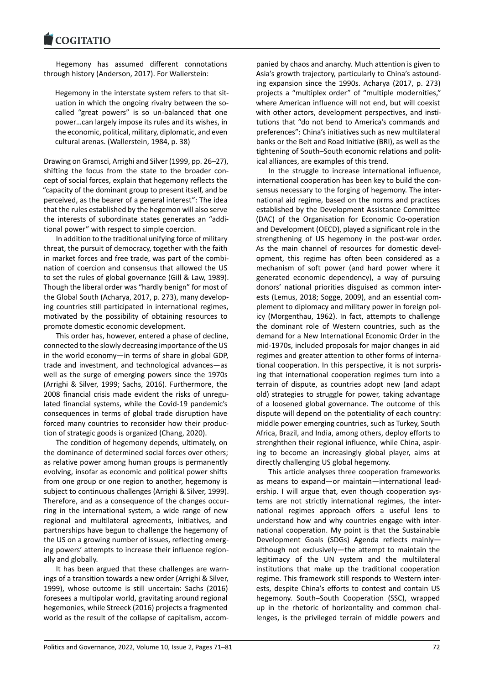### COQUIATIO

Hegemony has assumed different connotations [through history \(And](https://www.cogitatiopress.com)erson, 2017). For Wallerstein:

Hegemony in the interstate system refers to that sit‐ uation in which the ongoing rivalry between the socalled "great powers" is so un‐balanced that one power…can largely impose its rules and its wishes, in the economic, political, military, diplomatic, and even cultural arenas. (Wallerstein, 1984, p. 38)

Drawing on Gramsci, Arrighi and Silver (1999, pp. 26–27), shifting the focus from the state to the broader con‐ cept of social forces, explain that hegemony reflects the "capacity of the dominant group to present itself, and be perceived, as the bearer of a general interest": The idea that the rules established by the hegemon will also serve the interests of subordinate states generates an "addi‐ tional power" with respect to simple coercion.

In addition to the traditional unifying force of military threat, the pursuit of democracy, together with the faith in market forces and free trade, was part of the combi‐ nation of coercion and consensus that allowed the US to set the rules of global governance (Gill & Law, 1989). Though the liberal order was "hardly benign" for most of the Global South (Acharya, 2017, p. 273), many develop‐ ing countries still participated in international regimes, motivated by the possibility of obtaining resources to promote domestic economic development.

This order has, however, entered a phase of decline, connected to the slowly decreasing importance of the US in the world economy—in terms of share in global GDP, trade and investment, and technological advances—as well as the surge of emerging powers since the 1970s (Arrighi & Silver, 1999; Sachs, 2016). Furthermore, the 2008 financial crisis made evident the risks of unregu‐ lated financial systems, while the Covid‐19 pandemic's consequences in terms of global trade disruption have forced many countries to reconsider how their produc‐ tion of strategic goods is organized (Chang, 2020).

The condition of hegemony depends, ultimately, on the dominance of determined social forces over others; as relative power among human groups is permanently evolving, insofar as economic and political power shifts from one group or one region to another, hegemony is subject to continuous challenges (Arrighi & Silver, 1999). Therefore, and as a consequence of the changes occur‐ ring in the international system, a wide range of new regional and multilateral agreements, initiatives, and partnerships have begun to challenge the hegemony of the US on a growing number of issues, reflecting emerg‐ ing powers' attempts to increase their influence region‐ ally and globally.

It has been argued that these challenges are warn‐ ings of a transition towards a new order (Arrighi & Silver, 1999), whose outcome is still uncertain: Sachs (2016) foresees a multipolar world, gravitating around regional hegemonies, while Streeck (2016) projects a fragmented world as the result of the collapse of capitalism, accom‐

panied by chaos and anarchy. Much attention is given to Asia's growth trajectory, particularly to China's astound‐ ing expansion since the 1990s. Acharya (2017, p. 273) projects a "multiplex order" of "multiple modernities," where American influence will not end, but will coexist with other actors, development perspectives, and institutions that "do not bend to America's commands and preferences": China's initiatives such as new multilateral banks or the Belt and Road Initiative (BRI), as well as the tightening of South–South economic relations and polit‐ ical alliances, are examples of this trend.

In the struggle to increase international influence, international cooperation has been key to build the consensus necessary to the forging of hegemony. The inter‐ national aid regime, based on the norms and practices established by the Development Assistance Committee (DAC) of the Organisation for Economic Co‐operation and Development (OECD), played a significant role in the strengthening of US hegemony in the post-war order. As the main channel of resources for domestic devel‐ opment, this regime has often been considered as a mechanism of soft power (and hard power where it generated economic dependency), a way of pursuing donors' national priorities disguised as common inter‐ ests (Lemus, 2018; Sogge, 2009), and an essential com‐ plement to diplomacy and military power in foreign pol‐ icy (Morgenthau, 1962). In fact, attempts to challenge the dominant role of Western countries, such as the demand for a New International Economic Order in the mid‐1970s, included proposals for major changes in aid regimes and greater attention to other forms of interna‐ tional cooperation. In this perspective, it is not surpris‐ ing that international cooperation regimes turn into a terrain of dispute, as countries adopt new (and adapt old) strategies to struggle for power, taking advantage of a loosened global governance. The outcome of this dispute will depend on the potentiality of each country: middle power emerging countries, such as Turkey, South Africa, Brazil, and India, among others, deploy efforts to strenghthen their regional influence, while China, aspir‐ ing to become an increasingly global player, aims at directly challenging US global hegemony.

This article analyses three cooperation frameworks as means to expand—or maintain—international lead‐ ership. I will argue that, even though cooperation systems are not strictly international regimes, the inter‐ national regimes approach offers a useful lens to understand how and why countries engage with inter‐ national cooperation. My point is that the Sustainable Development Goals (SDGs) Agenda reflects mainly although not exclusively—the attempt to maintain the legitimacy of the UN system and the multilateral institutions that make up the traditional cooperation regime. This framework still responds to Western inter‐ ests, despite China's efforts to contest and contain US hegemony. South–South Cooperation (SSC), wrapped up in the rhetoric of horizontality and common challenges, is the privileged terrain of middle powers and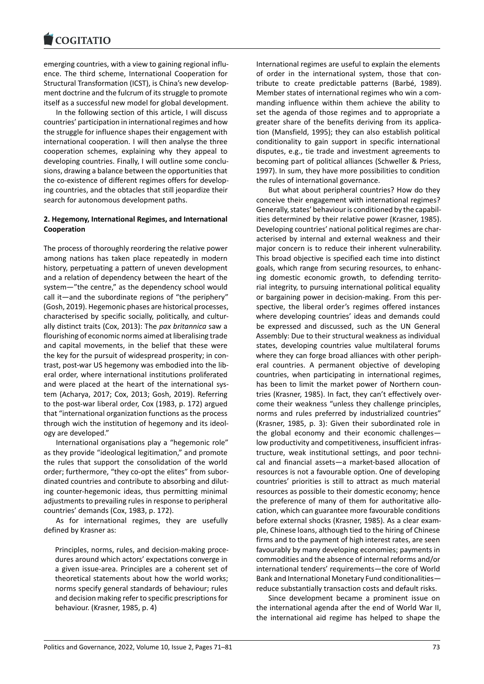#### COGHALIO

emerging countries, with a view to gaining regional influ‐ [ence. The third sche](https://www.cogitatiopress.com)me, International Cooperation for Structural Transformation (ICST), is China's new develop‐ ment doctrine and the fulcrum of its struggle to promote itself as a successful new model for global development.

In the following section of this article, I will discuss countries' participation in international regimes and how the struggle for influence shapes their engagement with international cooperation. I will then analyse the three cooperation schemes, explaining why they appeal to developing countries. Finally, I will outline some conclu‐ sions, drawing a balance between the opportunities that the co-existence of different regimes offers for developing countries, and the obtacles that still jeopardize their search for autonomous development paths.

### **2. Hegemony, International Regimes, and International Cooperation**

The process of thoroughly reordering the relative power among nations has taken place repeatedly in modern history, perpetuating a pattern of uneven development and a relation of dependency between the heart of the system—"the centre," as the dependency school would call it—and the subordinate regions of "the periphery" (Gosh, 2019). Hegemonic phases are historical processes, characterised by specific socially, politically, and cultur‐ ally distinct traits (Cox, 2013): The *pax britannica* saw a flourishing of economic norms aimed at liberalising trade and capital movements, in the belief that these were the key for the pursuit of widespread prosperity; in con‐ trast, post-war US hegemony was embodied into the liberal order, where international institutions proliferated and were placed at the heart of the international system (Acharya, 2017; Cox, 2013; Gosh, 2019). Referring to the post‐war liberal order, Cox (1983, p. 172) argued that "international organization functions as the process through wich the institution of hegemony and its ideol‐ ogy are developed."

International organisations play a "hegemonic role" as they provide "ideological legitimation," and promote the rules that support the consolidation of the world order; furthermore, "they co‐opt the elites" from subor‐ dinated countries and contribute to absorbing and dilut‐ ing counter‐hegemonic ideas, thus permitting minimal adjustments to prevailing rules in response to peripheral countries' demands (Cox, 1983, p. 172).

As for international regimes, they are usefully defined by Krasner as:

Principles, norms, rules, and decision‐making proce‐ dures around which actors' expectations converge in a given issue‐area. Principles are a coherent set of theoretical statements about how the world works; norms specify general standards of behaviour; rules and decision making refer to specific prescriptions for behaviour. (Krasner, 1985, p. 4)

International regimes are useful to explain the elements of order in the international system, those that con‐ tribute to create predictable patterns (Barbé, 1989). Member states of international regimes who win a com‐ manding influence within them achieve the ability to set the agenda of those regimes and to appropriate a greater share of the benefits deriving from its application (Mansfield, 1995); they can also establish political conditionality to gain support in specific international disputes, e.g., tie trade and investment agreements to becoming part of political alliances (Schweller & Priess, 1997). In sum, they have more possibilities to condition the rules of international governance.

But what about peripheral countries? How do they conceive their engagement with international regimes? Generally, states' behaviour is conditioned by the capabil‐ ities determined by their relative power (Krasner, 1985). Developing countries' national political regimes are char‐ acterised by internal and external weakness and their major concern is to reduce their inherent vulnerability. This broad objective is specified each time into distinct goals, which range from securing resources, to enhanc‐ ing domestic economic growth, to defending territo‐ rial integrity, to pursuing international political equality or bargaining power in decision‐making. From this per‐ spective, the liberal order's regimes offered instances where developing countries' ideas and demands could be expressed and discussed, such as the UN General Assembly: Due to their structural weakness as individual states, developing countries value multilateral forums where they can forge broad alliances with other peripheral countries. A permanent objective of developing countries, when participating in international regimes, has been to limit the market power of Northern countries (Krasner, 1985). In fact, they can't effectively over‐ come their weakness "unless they challenge principles, norms and rules preferred by industrialized countries" (Krasner, 1985, p. 3): Given their subordinated role in the global economy and their economic challenges low productivity and competitiveness, insufficient infras‐ tructure, weak institutional settings, and poor techni‐ cal and financial assets—a market‐based allocation of resources is not a favourable option. One of developing countries' priorities is still to attract as much material resources as possible to their domestic economy; hence the preference of many of them for authoritative allo‐ cation, which can guarantee more favourable conditions before external shocks (Krasner, 1985). As a clear exam‐ ple, Chinese loans, although tied to the hiring of Chinese firms and to the payment of high interest rates, are seen favourably by many developing economies; payments in commodities and the absence of internal reforms and/or international tenders' requirements—the core of World Bank and International Monetary Fund conditionalities reduce substantially transaction costs and default risks.

Since development became a prominent issue on the international agenda after the end of World War II, the international aid regime has helped to shape the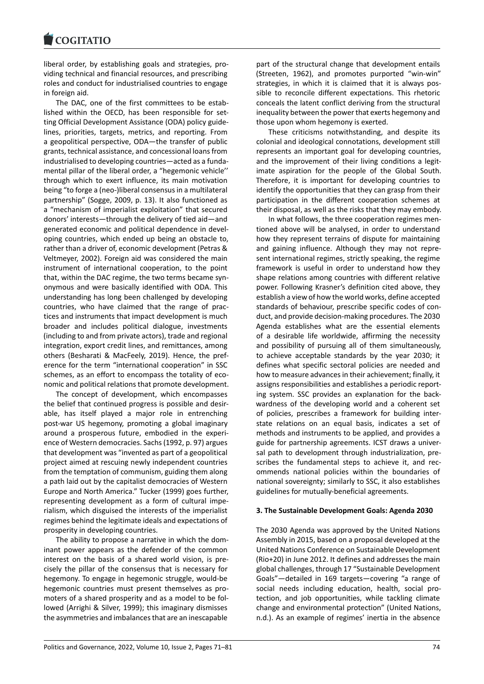liberal order, by establishing goals and strategies, pro‐ [viding technical and](https://www.cogitatiopress.com) financial resources, and prescribing roles and conduct for industrialised countries to engage in foreign aid.

The DAC, one of the first committees to be established within the OECD, has been responsible for setting Official Development Assistance (ODA) policy guide‐ lines, priorities, targets, metrics, and reporting. From a geopolitical perspective, ODA—the transfer of public grants, technical assistance, and concessional loans from industrialised to developing countries—acted as a funda‐ mental pillar of the liberal order, a "hegemonic vehicle'' through which to exert influence, its main motivation being "to forge a (neo‐)liberal consensus in a multilateral partnership" (Sogge, 2009, p. 13). It also functioned as a "mechanism of imperialist exploitation" that secured donors' interests—through the delivery of tied aid—and generated economic and political dependence in devel‐ oping countries, which ended up being an obstacle to, rather than a driver of, economic development (Petras & Veltmeyer, 2002). Foreign aid was considered the main instrument of international cooperation, to the point that, within the DAC regime, the two terms became syn‐ onymous and were basically identified with ODA. This understanding has long been challenged by developing countries, who have claimed that the range of prac‐ tices and instruments that impact development is much broader and includes political dialogue, investments (including to and from private actors), trade and regional integration, export credit lines, and remittances, among others (Besharati & MacFeely, 2019). Hence, the pref‐ erence for the term "international cooperation" in SSC schemes, as an effort to encompass the totality of economic and political relations that promote development.

The concept of development, which encompasses the belief that continued progress is possible and desir‐ able, has itself played a major role in entrenching post‐war US hegemony, promoting a global imaginary around a prosperous future, embodied in the experi‐ ence of Western democracies. Sachs (1992, p. 97) argues that development was "invented as part of a geopolitical project aimed at rescuing newly independent countries from the temptation of communism, guiding them along a path laid out by the capitalist democracies of Western Europe and North America." Tucker (1999) goes further, representing development as a form of cultural impe‐ rialism, which disguised the interests of the imperialist regimes behind the legitimate ideals and expectations of prosperity in developing countries.

The ability to propose a narrative in which the dom‐ inant power appears as the defender of the common interest on the basis of a shared world vision, is pre‐ cisely the pillar of the consensus that is necessary for hegemony. To engage in hegemonic struggle, would‐be hegemonic countries must present themselves as promoters of a shared prosperity and as a model to be fol‐ lowed (Arrighi & Silver, 1999); this imaginary dismisses the asymmetries and imbalances that are an inescapable

part of the structural change that development entails (Streeten, 1962), and promotes purported "win‐win" strategies, in which it is claimed that it is always pos‐ sible to reconcile different expectations. This rhetoric conceals the latent conflict deriving from the structural inequality between the power that exerts hegemony and those upon whom hegemony is exerted.

These criticisms notwithstanding, and despite its colonial and ideological connotations, development still represents an important goal for developing countries, and the improvement of their living conditions a legitimate aspiration for the people of the Global South. Therefore, it is important for developing countries to identify the opportunities that they can grasp from their participation in the different cooperation schemes at their disposal, as well as the risks that they may embody.

In what follows, the three cooperation regimes men‐ tioned above will be analysed, in order to understand how they represent terrains of dispute for maintaining and gaining influence. Although they may not repre‐ sent international regimes, strictly speaking, the regime framework is useful in order to understand how they shape relations among countries with different relative power. Following Krasner's definition cited above, they establish a view of how the world works, define accepted standards of behaviour, prescribe specific codes of con‐ duct, and provide decision‐making procedures. The 2030 Agenda establishes what are the essential elements of a desirable life worldwide, affirming the necessity and possibility of pursuing all of them simultaneously, to achieve acceptable standards by the year 2030; it defines what specific sectoral policies are needed and how to measure advances in their achievement; finally, it assigns responsibilities and establishes a periodic report‐ ing system. SSC provides an explanation for the back‐ wardness of the developing world and a coherent set of policies, prescribes a framework for building inter‐ state relations on an equal basis, indicates a set of methods and instruments to be applied, and provides a guide for partnership agreements. ICST draws a univer‐ sal path to development through industrialization, prescribes the fundamental steps to achieve it, and recommends national policies within the boundaries of national sovereignty; similarly to SSC, it also establishes guidelines for mutually‐beneficial agreements.

### **3. The Sustainable Development Goals: Agenda 2030**

The 2030 Agenda was approved by the United Nations Assembly in 2015, based on a proposal developed at the United Nations Conference on Sustainable Development (Rio+20) in June 2012. It defines and addresses the main global challenges, through 17 "Sustainable Development Goals"—detailed in 169 targets—covering "a range of social needs including education, health, social protection, and job opportunities, while tackling climate change and environmental protection" (United Nations, n.d.). As an example of regimes' inertia in the absence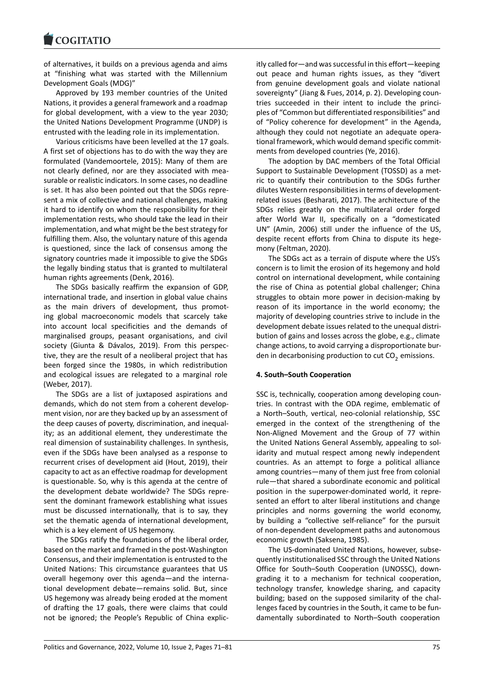of alternatives, it builds on a previous agenda and aims [at "finishing what](https://www.cogitatiopress.com) was started with the Millennium Development Goals (MDG)"

Approved by 193 member countries of the United Nations, it provides a general framework and a roadmap for global development, with a view to the year 2030; the United Nations Development Programme (UNDP) is entrusted with the leading role in its implementation.

Various criticisms have been levelled at the 17 goals. A first set of objections has to do with the way they are formulated (Vandemoortele, 2015): Many of them are not clearly defined, nor are they associated with mea‐ surable or realistic indicators. In some cases, no deadline is set. It has also been pointed out that the SDGs repre‐ sent a mix of collective and national challenges, making it hard to identify on whom the responsibility for their implementation rests, who should take the lead in their implementation, and what might be the best strategy for fulfilling them. Also, the voluntary nature of this agenda is questioned, since the lack of consensus among the signatory countries made it impossible to give the SDGs the legally binding status that is granted to multilateral human rights agreements (Denk, 2016).

The SDGs basically reaffirm the expansion of GDP, international trade, and insertion in global value chains as the main drivers of development, thus promoting global macroeconomic models that scarcely take into account local specificities and the demands of marginalised groups, peasant organisations, and civil society (Giunta & Dávalos, 2019). From this perspec‐ tive, they are the result of a neoliberal project that has been forged since the 1980s, in which redistribution and ecological issues are relegated to a marginal role (Weber, 2017).

The SDGs are a list of juxtaposed aspirations and demands, which do not stem from a coherent develop‐ ment vision, nor are they backed up by an assessment of the deep causes of poverty, discrimination, and inequal‐ ity; as an additional element, they underestimate the real dimension of sustainability challenges. In synthesis, even if the SDGs have been analysed as a response to recurrent crises of development aid (Hout, 2019), their capacity to act as an effective roadmap for development is questionable. So, why is this agenda at the centre of the development debate worldwide? The SDGs repre‐ sent the dominant framework establishing what issues must be discussed internationally, that is to say, they set the thematic agenda of international development, which is a key element of US hegemony.

The SDGs ratify the foundations of the liberal order, based on the market and framed in the post‐Washington Consensus, and their implementation is entrusted to the United Nations: This circumstance guarantees that US overall hegemony over this agenda—and the interna‐ tional development debate—remains solid. But, since US hegemony was already being eroded at the moment of drafting the 17 goals, there were claims that could not be ignored; the People's Republic of China explic‐ itly called for—and was successful in this effort—keeping out peace and human rights issues, as they "divert from genuine development goals and violate national sovereignty" (Jiang & Fues, 2014, p. 2). Developing coun‐ tries succeeded in their intent to include the princi‐ ples of "Common but differentiated responsibilities" and of "Policy coherence for development" in the Agenda, although they could not negotiate an adequate opera‐ tional framework, which would demand specific commit‐ ments from developed countries (Ye, 2016).

The adoption by DAC members of the Total Official Support to Sustainable Development (TOSSD) as a met‐ ric to quantify their contribution to the SDGs further dilutes Western responsibilities in terms of development‐ related issues (Besharati, 2017). The architecture of the SDGs relies greatly on the multilateral order forged after World War II, specifically on a "domesticated UN" (Amin, 2006) still under the influence of the US, despite recent efforts from China to dispute its hegemony (Feltman, 2020).

The SDGs act as a terrain of dispute where the US's concern is to limit the erosion of its hegemony and hold control on international development, while containing the rise of China as potential global challenger; China struggles to obtain more power in decision‐making by reason of its importance in the world economy; the majority of developing countries strive to include in the development debate issues related to the unequal distri‐ bution of gains and losses across the globe, e.g., climate change actions, to avoid carrying a disproportionate bur‐ den in decarbonising production to cut CO<sub>2</sub> emissions.

### **4. South–South Cooperation**

SSC is, technically, cooperation among developing coun‐ tries. In contrast with the ODA regime, emblematic of a North–South, vertical, neo‐colonial relationship, SSC emerged in the context of the strengthening of the Non‐Aligned Movement and the Group of 77 within the United Nations General Assembly, appealing to sol‐ idarity and mutual respect among newly independent countries. As an attempt to forge a political alliance among countries—many of them just free from colonial rule—that shared a subordinate economic and political position in the superpower‐dominated world, it repre‐ sented an effort to alter liberal institutions and change principles and norms governing the world economy, by building a "collective self‐reliance" for the pursuit of non‐dependent development paths and autonomous economic growth (Saksena, 1985).

The US‐dominated United Nations, however, subse‐ quently institutionalised SSC through the United Nations Office for South–South Cooperation (UNOSSC), down‐ grading it to a mechanism for technical cooperation, technology transfer, knowledge sharing, and capacity building; based on the supposed similarity of the chal‐ lenges faced by countries in the South, it came to be fun‐ damentally subordinated to North–South cooperation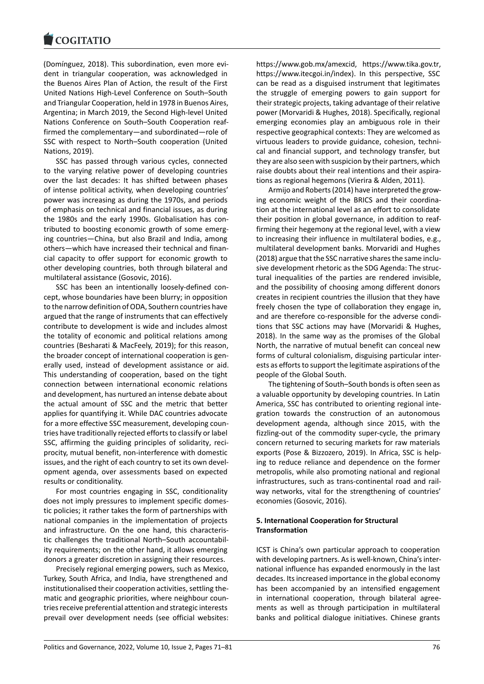#### **LOGITATIO**

(Domínguez, 2018). This subordination, even more evi‐ [dent in triangular c](https://www.cogitatiopress.com)ooperation, was acknowledged in the Buenos Aires Plan of Action, the result of the First United Nations High‐Level Conference on South–South and Triangular Cooperation, held in 1978 in Buenos Aires, Argentina; in March 2019, the Second High‐level United Nations Conference on South–South Cooperation reaf‐ firmed the complementary—and subordinated—role of SSC with respect to North–South cooperation (United Nations, 2019).

SSC has passed through various cycles, connected to the varying relative power of developing countries over the last decades: It has shifted between phases of intense political activity, when developing countries' power was increasing as during the 1970s, and periods of emphasis on technical and financial issues, as during the 1980s and the early 1990s. Globalisation has con‐ tributed to boosting economic growth of some emerg‐ ing countries—China, but also Brazil and India, among others—which have increased their technical and finan‐ cial capacity to offer support for economic growth to other developing countries, both through bilateral and multilateral assistance (Gosovic, 2016).

SSC has been an intentionally loosely‐defined con‐ cept, whose boundaries have been blurry; in opposition to the narrow definition of ODA, Southern countries have argued that the range of instruments that can effectively contribute to development is wide and includes almost the totality of economic and political relations among countries (Besharati & MacFeely, 2019); for this reason, the broader concept of international cooperation is gen‐ erally used, instead of development assistance or aid. This understanding of cooperation, based on the tight connection between international economic relations and development, has nurtured an intense debate about the actual amount of SSC and the metric that better applies for quantifying it. While DAC countries advocate for a more effective SSC measurement, developing coun‐ tries have traditionally rejected efforts to classify or label SSC, affirming the guiding principles of solidarity, reciprocity, mutual benefit, non‐interference with domestic issues, and the right of each country to set its own devel‐ opment agenda, over assessments based on expected results or conditionality.

For most countries engaging in SSC, conditionality does not imply pressures to implement specific domes‐ tic policies; it rather takes the form of partnerships with national companies in the implementation of projects and infrastructure. On the one hand, this characteris‐ tic challenges the traditional North–South accountabil‐ ity requirements; on the other hand, it allows emerging donors a greater discretion in assigning their resources.

Precisely regional emerging powers, such as Mexico, Turkey, South Africa, and India, have strengthened and institutionalised their cooperation activities, settling the‐ matic and geographic priorities, where neighbour coun‐ tries receive preferential attention and strategic interests prevail over development needs (see official websites: https://www.gob.mx/amexcid, https://www.tika.gov.tr, https://www.itecgoi.in/index). In this perspective, SSC can be read as a disguised instrument that legitimates the struggle of emerging powers to gain support for [their strategic projects, taking a](https://www.gob.mx/amexcid)[dvantage of their relative](https://www.tika.gov.tr) [power \(Morvaridi & Hughes,](https://www.itecgoi.in/index) 2018). Specifically, regional emerging economies play an ambiguous role in their respective geographical contexts: They are welcomed as virtuous leaders to provide guidance, cohesion, techni‐ cal and financial support, and technology transfer, but they are also seen with suspicion by their partners, which raise doubts about their real intentions and their aspira‐ tions as regional hegemons (Vierira & Alden, 2011).

Armijo and Roberts (2014) have interpreted the grow‐ ing economic weight of the BRICS and their coordina‐ tion at the international level as an effort to consolidate their position in global governance, in addition to reaf‐ firming their hegemony at the regional level, with a view to increasing their influence in multilateral bodies, e.g., multilateral development banks. Morvaridi and Hughes (2018) argue that the SSC narrative shares the same inclu‐ sive development rhetoric as the SDG Agenda: The struc‐ tural inequalities of the parties are rendered invisible, and the possibility of choosing among different donors creates in recipient countries the illusion that they have freely chosen the type of collaboration they engage in, and are therefore co-responsible for the adverse conditions that SSC actions may have (Morvaridi & Hughes, 2018). In the same way as the promises of the Global North, the narrative of mutual benefit can conceal new forms of cultural colonialism, disguising particular inter‐ ests as efforts to support the legitimate aspirations of the people of the Global South.

The tightening of South–South bonds is often seen as a valuable opportunity by developing countries. In Latin America, SSC has contributed to orienting regional inte‐ gration towards the construction of an autonomous development agenda, although since 2015, with the fizzling‐out of the commodity super‐cycle, the primary concern returned to securing markets for raw materials exports (Pose & Bizzozero, 2019). In Africa, SSC is help‐ ing to reduce reliance and dependence on the former metropolis, while also promoting national and regional infrastructures, such as trans‐continental road and rail‐ way networks, vital for the strengthening of countries' economies (Gosovic, 2016).

### **5. International Cooperation for Structural Transformation**

ICST is China's own particular approach to cooperation with developing partners. As is well-known, China's international influence has expanded enormously in the last decades. Its increased importance in the global economy has been accompanied by an intensified engagement in international cooperation, through bilateral agree‐ ments as well as through participation in multilateral banks and political dialogue initiatives. Chinese grants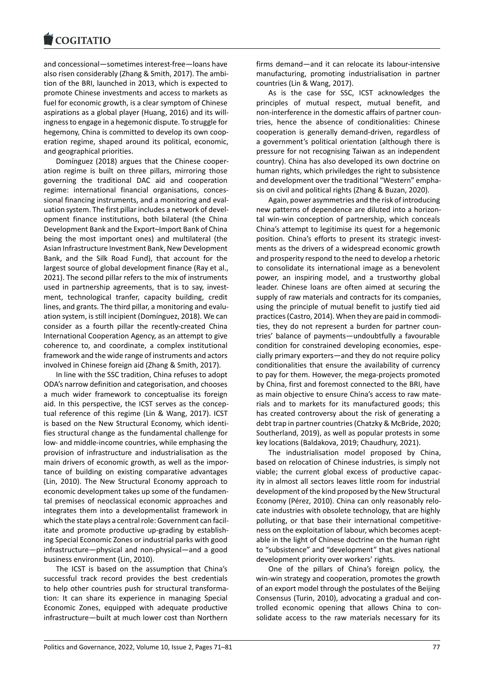#### COGHALIO

and concessional—sometimes interest‐free—loans have [also risen considerab](https://www.cogitatiopress.com)ly (Zhang & Smith, 2017). The ambi‐ tion of the BRI, launched in 2013, which is expected to promote Chinese investments and access to markets as fuel for economic growth, is a clear symptom of Chinese aspirations as a global player (Huang, 2016) and its will‐ ingness to engage in a hegemonic dispute. To struggle for hegemony, China is committed to develop its own coop‐ eration regime, shaped around its political, economic, and geographical priorities.

Domínguez (2018) argues that the Chinese cooper‐ ation regime is built on three pillars, mirroring those governing the traditional DAC aid and cooperation regime: international financial organisations, conces‐ sional financing instruments, and a monitoring and eval‐ uation system. The first pillar includes a network of devel‐ opment finance institutions, both bilateral (the China Development Bank and the Export–Import Bank of China being the most important ones) and multilateral (the Asian Infrastructure Investment Bank, New Development Bank, and the Silk Road Fund), that account for the largest source of global development finance (Ray et al., 2021). The second pillar refers to the mix of instruments used in partnership agreements, that is to say, investment, technological tranfer, capacity building, credit lines, and grants. The third pillar, a monitoring and evalu‐ ation system, is still incipient (Domínguez, 2018). We can consider as a fourth pillar the recently‐created China International Cooperation Agency, as an attempt to give coherence to, and coordinate, a complex institutional framework and the wide range of instruments and actors involved in Chinese foreign aid (Zhang & Smith, 2017).

In line with the SSC tradition, China refuses to adopt ODA's narrow definition and categorisation, and chooses a much wider framework to conceptualise its foreign aid. In this perspective, the ICST serves as the concep‐ tual reference of this regime (Lin & Wang, 2017). ICST is based on the New Structural Economy, which identi‐ fies structural change as the fundamental challenge for low‐ and middle‐income countries, while emphasing the provision of infrastructure and industrialisation as the main drivers of economic growth, as well as the impor‐ tance of building on existing comparative advantages (Lin, 2010). The New Structural Economy approach to economic development takes up some of the fundamen‐ tal premises of neoclassical economic approaches and integrates them into a developmentalist framework in which the state plays a central role: Government can facil‐ itate and promote productive up-grading by establishing Special Economic Zones or industrial parks with good infrastructure—physical and non‐physical—and a good business environment (Lin, 2010).

The ICST is based on the assumption that China's successful track record provides the best credentials to help other countries push for structural transforma‐ tion: It can share its experience in managing Special Economic Zones, equipped with adequate productive infrastructure—built at much lower cost than Northern

firms demand—and it can relocate its labour‐intensive manufacturing, promoting industrialisation in partner countries (Lin & Wang, 2017).

As is the case for SSC, ICST acknowledges the principles of mutual respect, mutual benefit, and non-interference in the domestic affairs of partner countries, hence the absence of conditionalities: Chinese cooperation is generally demand‐driven, regardless of a government's political orientation (although there is pressure for not recognising Taiwan as an independent country). China has also developed its own doctrine on human rights, which priviledges the right to subsistence and development over the traditional "Western" empha‐ sis on civil and political rights (Zhang & Buzan, 2020).

Again, power asymmetries and the risk of introducing new patterns of dependence are diluted into a horizon‐ tal win‐win conception of partnership, which conceals China's attempt to legitimise its quest for a hegemonic position. China's efforts to present its strategic investments as the drivers of a widespread economic growth and prosperity respond to the need to develop a rhetoric to consolidate its international image as a benevolent power, an inspiring model, and a trustworthy global leader. Chinese loans are often aimed at securing the supply of raw materials and contracts for its companies, using the principle of mutual benefit to justify tied aid practices (Castro, 2014). When they are paid in commodi‐ ties, they do not represent a burden for partner coun‐ tries' balance of payments—undoubtfully a favourable condition for constrained developing economies, espe‐ cially primary exporters—and they do not require policy conditionalities that ensure the availability of currency to pay for them. However, the mega‐projects promoted by China, first and foremost connected to the BRI, have as main objective to ensure China's access to raw mate‐ rials and to markets for its manufactured goods; this has created controversy about the risk of generating a debt trap in partner countries (Chatzky & McBride, 2020; Southerland, 2019), as well as popular protests in some key locations (Baldakova, 2019; Chaudhury, 2021).

The industrialisation model proposed by China, based on relocation of Chinese industries, is simply not viable; the current global excess of productive capac‐ ity in almost all sectors leaves little room for industrial development of the kind proposed by the New Structural Economy (Pérez, 2010). China can only reasonably relo‐ cate industries with obsolete technology, that are highly polluting, or that base their international competitive‐ ness on the exploitation of labour, which becomes acept‐ able in the light of Chinese doctrine on the human right to "subsistence" and "development" that gives national development priority over workers' rights.

One of the pillars of China's foreign policy, the win-win strategy and cooperation, promotes the growth of an export model through the postulates of the Beijing Consensus (Turin, 2010), advocating a gradual and con‐ trolled economic opening that allows China to con‐ solidate access to the raw materials necessary for its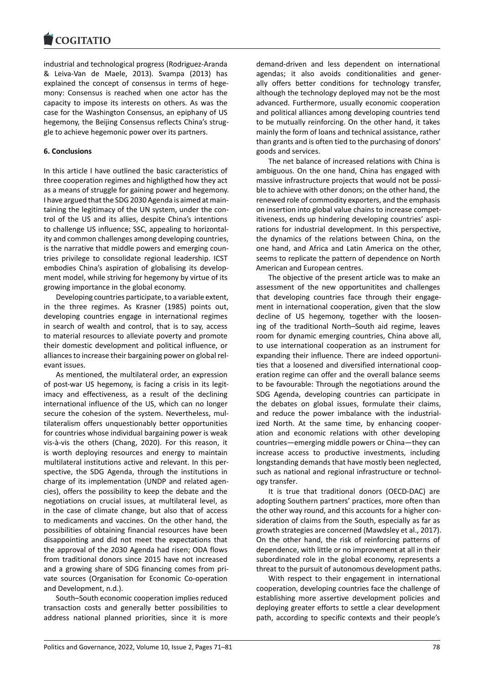industrial and technological progress (Rodriguez‐Aranda [& Leiva‐Van de M](https://www.cogitatiopress.com)aele, 2013). Svampa (2013) has explained the concept of consensus in terms of hegemony: Consensus is reached when one actor has the capacity to impose its interests on others. As was the case for the Washington Consensus, an epiphany of US hegemony, the Beijing Consensus reflects China's strug‐ gle to achieve hegemonic power over its partners.

### **6. Conclusions**

In this article I have outlined the basic caracteristics of three cooperation regimes and highligthed how they act as a means of struggle for gaining power and hegemony. I have argued that the SDG 2030 Agenda is aimed at main‐ taining the legitimacy of the UN system, under the con‐ trol of the US and its allies, despite China's intentions to challenge US influence; SSC, appealing to horizontal‐ ity and common challenges among developing countries, is the narrative that middle powers and emerging coun‐ tries privilege to consolidate regional leadership. ICST embodies China's aspiration of globalising its develop‐ ment model, while striving for hegemony by virtue of its growing importance in the global economy.

Developing countries participate, to a variable extent, in the three regimes. As Krasner (1985) points out, developing countries engage in international regimes in search of wealth and control, that is to say, access to material resources to alleviate poverty and promote their domestic development and political influence, or alliances to increase their bargaining power on global rel‐ evant issues.

As mentioned, the multilateral order, an expression of post-war US hegemony, is facing a crisis in its legitimacy and effectiveness, as a result of the declining international influence of the US, which can no longer secure the cohesion of the system. Nevertheless, mul‐ tilateralism offers unquestionably better opportunities for countries whose individual bargaining power is weak vis‐à‐vis the others (Chang, 2020). For this reason, it is worth deploying resources and energy to maintain multilateral institutions active and relevant. In this per‐ spective, the SDG Agenda, through the institutions in charge of its implementation (UNDP and related agen‐ cies), offers the possibility to keep the debate and the negotiations on crucial issues, at multilateral level, as in the case of climate change, but also that of access to medicaments and vaccines. On the other hand, the possibilities of obtaining financial resources have been disappointing and did not meet the expectations that the approval of the 2030 Agenda had risen; ODA flows from traditional donors since 2015 have not increased and a growing share of SDG financing comes from pri‐ vate sources (Organisation for Economic Co-operation and Development, n.d.).

South–South economic cooperation implies reduced transaction costs and generally better possibilities to address national planned priorities, since it is more

demand‐driven and less dependent on international agendas; it also avoids conditionalities and gener‐ ally offers better conditions for technology transfer, although the technology deployed may not be the most advanced. Furthermore, usually economic cooperation and political alliances among developing countries tend to be mutually reinforcing. On the other hand, it takes mainly the form of loans and technical assistance, rather than grants and is often tied to the purchasing of donors' goods and services.

The net balance of increased relations with China is ambiguous. On the one hand, China has engaged with massive infrastructure projects that would not be possi‐ ble to achieve with other donors; on the other hand, the renewed role of commodity exporters, and the emphasis on insertion into global value chains to increase compet‐ itiveness, ends up hindering developing countries' aspi‐ rations for industrial development. In this perspective, the dynamics of the relations between China, on the one hand, and Africa and Latin America on the other, seems to replicate the pattern of dependence on North American and European centres.

The objective of the present article was to make an assessment of the new opportunitites and challenges that developing countries face through their engage‐ ment in international cooperation, given that the slow decline of US hegemony, together with the loosen‐ ing of the traditional North–South aid regime, leaves room for dynamic emerging countries, China above all, to use international cooperation as an instrument for expanding their influence. There are indeed opportuni‐ ties that a loosened and diversified international coop‐ eration regime can offer and the overall balance seems to be favourable: Through the negotiations around the SDG Agenda, developing countries can participate in the debates on global issues, formulate their claims, and reduce the power imbalance with the industrial‐ ized North. At the same time, by enhancing cooper‐ ation and economic relations with other developing countries—emerging middle powers or China—they can increase access to productive investments, including longstanding demands that have mostly been neglected, such as national and regional infrastructure or technol‐ ogy transfer.

It is true that traditional donors (OECD‐DAC) are adopting Southern partners' practices, more often than the other way round, and this accounts for a higher con‐ sideration of claims from the South, especially as far as growth strategies are concerned (Mawdsley et al., 2017). On the other hand, the risk of reinforcing patterns of dependence, with little or no improvement at all in their subordinated role in the global economy, represents a threat to the pursuit of autonomous development paths.

With respect to their engagement in international cooperation, developing countries face the challenge of establishing more assertive development policies and deploying greater efforts to settle a clear development path, according to specific contexts and their people's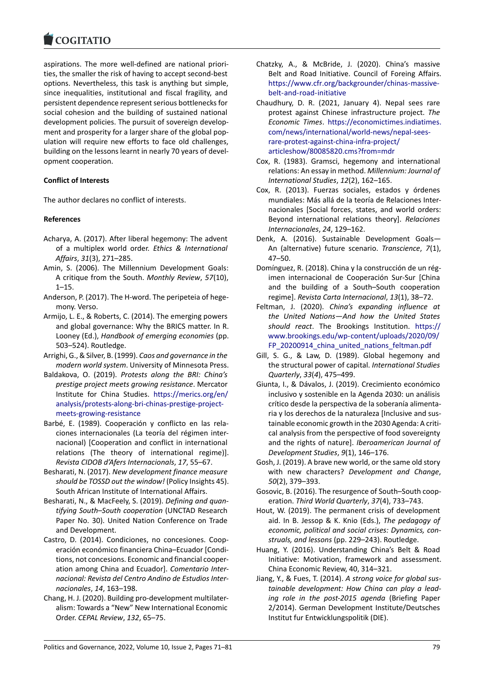#### **LOGITATIO**

aspirations. The more well‐defined are national priori‐ [ties, the smaller the](https://www.cogitatiopress.com) risk of having to accept second‐best options. Nevertheless, this task is anything but simple, since inequalities, institutional and fiscal fragility, and persistent dependence represent serious bottlenecks for social cohesion and the building of sustained national development policies. The pursuit of sovereign develop‐ ment and prosperity for a larger share of the global pop‐ ulation will require new efforts to face old challenges, building on the lessons learnt in nearly 70 years of devel‐ opment cooperation.

## **Conflict of Interests**

The author declares no conflict of interests.

## **References**

- Acharya, A. (2017). After liberal hegemony: The advent of a multiplex world order. *Ethics & International Affairs*, *31*(3), 271–285.
- Amin, S. (2006). The Millennium Development Goals: A critique from the South. *Monthly Review*, *57*(10), 1–15.
- Anderson, P. (2017). The H‐word. The peripeteia of hege‐ mony. Verso.
- Armijo, L. E., & Roberts, C. (2014). The emerging powers and global governance: Why the BRICS matter. In R. Looney (Ed.), *Handbook of emerging economies* (pp. 503–524). Routledge.
- Arrighi, G., & Silver, B. (1999). *Caos and governance in the modern world system*. University of Minnesota Press.
- Baldakova, O. (2019). *Protests along the BRI: China's prestige project meets growing resistance*. Mercator Institute for China Studies. https://merics.org/en/ analysis/protests‐along‐bri‐chinas‐prestige‐project‐ meets‐growing‐resistance
- Barbé, E. (1989). Cooperación y conflicto en las rela‐ ciones internacionales (La te[oría del régimen inter‐](https://merics.org/en/analysis/protests-along-bri-chinas-prestige-project-meets-growing-resistance) [nacional\) \[Cooperation and conflict in internationa](https://merics.org/en/analysis/protests-along-bri-chinas-prestige-project-meets-growing-resistance)l [relations \(The theory o](https://merics.org/en/analysis/protests-along-bri-chinas-prestige-project-meets-growing-resistance)f international regime)]. *Revista CIDOB d'Afers Internacionals*, *17*, 55–67.
- Besharati, N. (2017). *New development finance measure should be TOSSD out the window!* (Policy Insights 45). South African Institute of International Affairs.
- Besharati, N., & MacFeely, S. (2019). *Defining and quan‐ tifying South–South cooperation* (UNCTAD Research Paper No. 30). United Nation Conference on Trade and Development.
- Castro, D. (2014). Condiciones, no concesiones. Coop‐ eración económico financiera China–Ecuador [Condi‐ tions, not concesions. Economic and financial cooper‐ ation among China and Ecuador]. *Comentario Inter‐ nacional: Revista del Centro Andino de Estudios Inter‐ nacionales*, *14*, 163–198.
- Chang, H. J. (2020). Building pro‐development multilater‐ alism: Towards a "New" New International Economic Order. *CEPAL Review*, *132*, 65–75.
- Chatzky, A., & McBride, J. (2020). China's massive Belt and Road Initiative. Council of Foreing Affairs. https://www.cfr.org/backgrounder/chinas‐massive‐ belt‐and‐road‐initiative
- Chaudhury, D. R. (2021, January 4). Nepal sees rare protest against Chinese infrastructure project. *The Economic Times*. [https://economictimes.indiatimes.](https://www.cfr.org/backgrounder/chinas-massive-belt-and-road-initiative) [com/news/internationa](https://www.cfr.org/backgrounder/chinas-massive-belt-and-road-initiative)l/world‐news/nepal‐sees‐ rare‐protest‐against‐china‐infra‐project/ articleshow/80085820.cms?from=mdr
- Cox, R. (1983). Gra[msci, hegemony and international](https://economictimes.indiatimes.com/news/international/world-news/nepal-sees-rare-protest-against-china-infra-project/articleshow/80085820.cms?from=mdr) [relations: An essay in method.](https://economictimes.indiatimes.com/news/international/world-news/nepal-sees-rare-protest-against-china-infra-project/articleshow/80085820.cms?from=mdr) *Millennium: Journal of [International Studies](https://economictimes.indiatimes.com/news/international/world-news/nepal-sees-rare-protest-against-china-infra-project/articleshow/80085820.cms?from=mdr)*, *12*(2), 162–165.
- Co[x, R. \(2013\). Fuerzas sociales, estado](https://economictimes.indiatimes.com/news/international/world-news/nepal-sees-rare-protest-against-china-infra-project/articleshow/80085820.cms?from=mdr)s y órdenes mundiales: Más allá de la teoría de Relaciones Inter‐ nacionales [Social forces, states, and world orders: Beyond international relations theory]. *Relaciones Internacionales*, *24*, 129–162.
- Denk, A. (2016). Sustainable Development Goals— An (alternative) future scenario. *Transcience*, *7*(1), 47–50.
- Domínguez, R. (2018). China y la construcción de un rég‐ imen internacional de Cooperación Sur‐Sur [China and the building of a South–South cooperation regime]. *Revista Carta Internacional*, *13*(1), 38–72.
- Feltman, J. (2020). *China's expanding influence at the United Nations—And how the United States should react*. The Brookings Institution. https:// www.brookings.edu/wp‐content/uploads/2020/09/ FP\_20200914\_china\_united\_nations\_feltman.pdf
- Gill, S. G., & Law, D. (1989). Global hegemony and the structural power of capital. *International [Studies](https://www.brookings.edu/wp-content/uploads/2020/09/FP_20200914_china_united_nations_feltman.pdf) Quarterly*, *33*(*4*[\), 475–499.](https://www.brookings.edu/wp-content/uploads/2020/09/FP_20200914_china_united_nations_feltman.pdf)
- Giu[nta, I., & Dávalos, J. \(2019\). Crecimiento económi](https://www.brookings.edu/wp-content/uploads/2020/09/FP_20200914_china_united_nations_feltman.pdf)co inclusivo y sostenible en la Agenda 2030: un análisis crítico desde la perspectiva de la soberanía alimenta‐ ria y los derechos de la naturaleza [Inclusive and sus‐ tainable economic growth in the 2030 Agenda: A criti‐ cal analysis from the perspective of food sovereignty and the rights of nature]. *Iberoamerican Journal of Development Studies*, *9*(1), 146–176.
- Gosh, J. (2019). A brave new world, or the same old story with new characters? *Development and Change*, *50*(2), 379–393.
- Gosovic, B. (2016). The resurgence of South–South coop‐ eration. *Third World Quarterly*, *37*(4), 733–743.
- Hout, W. (2019). The permanent crisis of development aid. In B. Jessop & K. Knio (Eds.), *The pedagogy of economic, political and social crises: Dynamics, con‐ struals, and lessons* (pp. 229–243). Routledge.
- Huang, Y. (2016). Understanding China's Belt & Road Initiative: Motivation, framework and assessment. China Economic Review, 40, 314–321.
- Jiang, Y., & Fues, T. (2014). *A strong voice for global sus‐ tainable development: How China can play a lead‐ ing role in the post‐2015 agenda* (Briefing Paper 2/2014). German Development Institute/Deutsches Institut fur Entwicklungspolitik (DIE).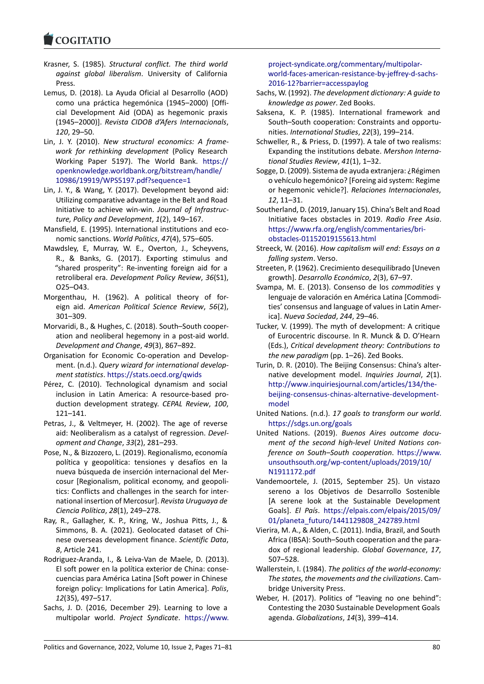#### **LOGITATIO**

- Krasner, S. (1985). *Structural conflict. The third world [against global l](https://www.cogitatiopress.com)iberalism*. University of California Press.
- Lemus, D. (2018). La Ayuda Oficial al Desarrollo (AOD) como una práctica hegemónica (1945–2000) [Offi‐ cial Development Aid (ODA) as hegemonic praxis (1945–2000)]. *Revista CIDOB d'Afers Internacionals*, *120*, 29–50.
- Lin, J. Y. (2010). *New structural economics: A frame‐ work for rethinking development* (Policy Research Working Paper 5197). The World Bank. https:// openknowledge.worldbank.org/bitstream/handle/ 10986/19919/WPS5197.pdf?sequence=1
- Lin, J. Y., & Wang, Y. (2017). Development beyond aid: Utilizing comparative advantage in the Belt a[nd Road](https://openknowledge.worldbank.org/bitstream/handle/10986/19919/WPS5197.pdf?sequence=1) [Initiative to achieve win‐win.](https://openknowledge.worldbank.org/bitstream/handle/10986/19919/WPS5197.pdf?sequence=1) *Journal of Infrastruc‐ [ture, Policy and Development](https://openknowledge.worldbank.org/bitstream/handle/10986/19919/WPS5197.pdf?sequence=1)*, *1*(2), 149–167.
- Mansfield, E. (1995). International institutions and eco‐ nomic sanctions. *World Politics*, *47*(4), 575–605.
- Mawdsley, E, Murray, W. E., Overton, J., Scheyvens, R., & Banks, G. (2017). Exporting stimulus and "shared prosperity": Re‐inventing foreign aid for a retroliberal era. *Development Policy Review*, *36*(S1), O25–O43.
- Morgenthau, H. (1962). A political theory of for‐ eign aid. *American Political Science Review*, *56*(2), 301–309.
- Morvaridi, B., & Hughes, C. (2018). South–South cooper‐ ation and neoliberal hegemony in a post‐aid world. *Development and Change*, *49*(3), 867–892.
- Organisation for Economic Co‐operation and Develop‐ ment. (n.d.). *Query wizard for international develop‐ ment statistics*. https://stats.oecd.org/qwids
- Pérez, C. (2010). Technological dynamism and social inclusion in Latin America: A resource-based production development strategy. *CEPAL Review*, *100*, 121–141.
- Petras, J., & Veltm[eyer, H. \(2002\). The age of](https://stats.oecd.org/qwids) reverse aid: Neoliberalism as a catalyst of regression. *Devel‐ opment and Change*, *33*(2), 281–293.
- Pose, N., & Bizzozero, L. (2019). Regionalismo, economía política y geopolítica: tensiones y desafíos en la nueva búsqueda de inserción internacional del Mer‐ cosur [Regionalism, political economy, and geopoli‐ tics: Conflicts and challenges in the search for inter‐ national insertion of Mercosur]. *Revista Uruguaya de Ciencia Política*, *28*(1), 249–278.
- Ray, R., Gallagher, K. P., Kring, W., Joshua Pitts, J., & Simmons, B. A. (2021). Geolocated dataset of Chi‐ nese overseas development finance. *Scientific Data*, *8*, Article 241.
- Rodriguez‐Aranda, I., & Leiva‐Van de Maele, D. (2013). El soft power en la política exterior de China: conse‐ cuencias para América Latina [Soft power in Chinese foreign policy: Implications for Latin America]. *Polis*, *12*(35), 497–517.
- Sachs, J. D. (2016, December 29). Learning to love a multipolar world. *Project Syndicate*. https://www.

project‐syndicate.org/commentary/multipolar‐ world‐faces‐american‐resistance‐by‐jeffrey‐d‐sachs‐ 2016‐12?barrier=accesspaylog

- Sachs, W. (1992). *The development dictionary: A guide to [knowledge as power](https://www.project-syndicate.org/commentary/multipolar-world-faces-american-resistance-by-jeffrey-d-sachs-2016-12?barrier=accesspaylog)*. Zed Books.
- Sak[sena, K. P. \(1985\). International framework and](https://www.project-syndicate.org/commentary/multipolar-world-faces-american-resistance-by-jeffrey-d-sachs-2016-12?barrier=accesspaylog) [South–South cooperation: Con](https://www.project-syndicate.org/commentary/multipolar-world-faces-american-resistance-by-jeffrey-d-sachs-2016-12?barrier=accesspaylog)straints and opportu‐ nities. *International Studies*, *22*(3), 199–214.
- Schweller, R., & Priess, D. (1997). A tale of two realisms: Expanding the institutions debate. *Mershon Interna‐ tional Studies Review*, *41*(1), 1–32.
- Sogge, D. (2009). Sistema de ayuda extranjera: ¿Régimen o vehículo hegemónico? [Foreing aid system: Regime or hegemonic vehicle?]. *Relaciones Internacionales*, *12*, 11–31.
- Southerland, D. (2019, January 15). China's Belt and Road Initiative faces obstacles in 2019. *Radio Free Asia*. https://www.rfa.org/english/commentaries/bri‐ obstacles‐01152019155613.html
- Streeck, W. (2016). *How capitalism will end: Essays on a falling system*. Verso.
- Str[eeten, P. \(1962\). Crecimiento desequilibrado \[Une](https://www.rfa.org/english/commentaries/bri-obstacles-01152019155613.html)ven growth]. *[Desarrollo Económico](https://www.rfa.org/english/commentaries/bri-obstacles-01152019155613.html)*, *2*(3), 67–97.
- Svampa, M. E. (2013). Consenso de los *commodities* y lenguaje de valoración en América Latina [Commodi‐ ties' consensus and language of values in Latin Amer‐ ica]. *Nueva Sociedad*, *244*, 29–46.
- Tucker, V. (1999). The myth of development: A critique of Eurocentric discourse. In R. Munck & D. O'Hearn (Eds.), *Critical development theory: Contributions to the new paradigm* (pp. 1–26). Zed Books.
- Turin, D. R. (2010). The Beijing Consensus: China's alter‐ native development model. *Inquiries Journal*, *2*(1). http://www.inquiriesjournal.com/articles/134/the‐ beijing‐consensus‐chinas‐alternative‐development‐ model
- United Nations. (n.d.). *17 goals to transform our world*. [https://sdgs.un.org/goals](http://www.inquiriesjournal.com/articles/134/the-beijing-consensus-chinas-alternative-development-model)
- United Nations. (2019). *[Buenos Aires outcome docu‐](http://www.inquiriesjournal.com/articles/134/the-beijing-consensus-chinas-alternative-development-model) [ment o](http://www.inquiriesjournal.com/articles/134/the-beijing-consensus-chinas-alternative-development-model)f the second high‐level United Nations con‐ ference on South–South cooperation*. https://www. [unsouthsouth.org/wp‐con](https://sdgs.un.org/goals)tent/uploads/2019/10/ N1911172.pdf
- Vandemoortele, J. (2015, September 25). Un vistazo sereno a los Objetivos de Desarroll[o Sostenible](https://www.unsouthsouth.org/wp-content/uploads/2019/10/N1911172.pdf) [\[A serene look at the Sustainable Developme](https://www.unsouthsouth.org/wp-content/uploads/2019/10/N1911172.pdf)nt [Goals\].](https://www.unsouthsouth.org/wp-content/uploads/2019/10/N1911172.pdf) *El País*. https://elpais.com/elpais/2015/09/ 01/planeta\_futuro/1441129808\_242789.html
- Vierira, M. A., & Alden, C. (2011). India, Brazil, and South Africa (IBSA): South–South cooperation and the para‐ dox of regional leadership. *[Global Governance](https://elpais.com/elpais/2015/09/01/planeta_futuro/1441129808_242789.html)*, *17*, [507–528.](https://elpais.com/elpais/2015/09/01/planeta_futuro/1441129808_242789.html)
- Wallerstein, I. (1984). *The politics of the world‐economy: The states, the movements and the civilizations*. Cam‐ bridge University Press.
- Weber, H. (2017). Politics of "leaving no one behind": Contesting the 2030 Sustainable Development Goals agenda. *Globalizations*, *14*(3), 399–414.